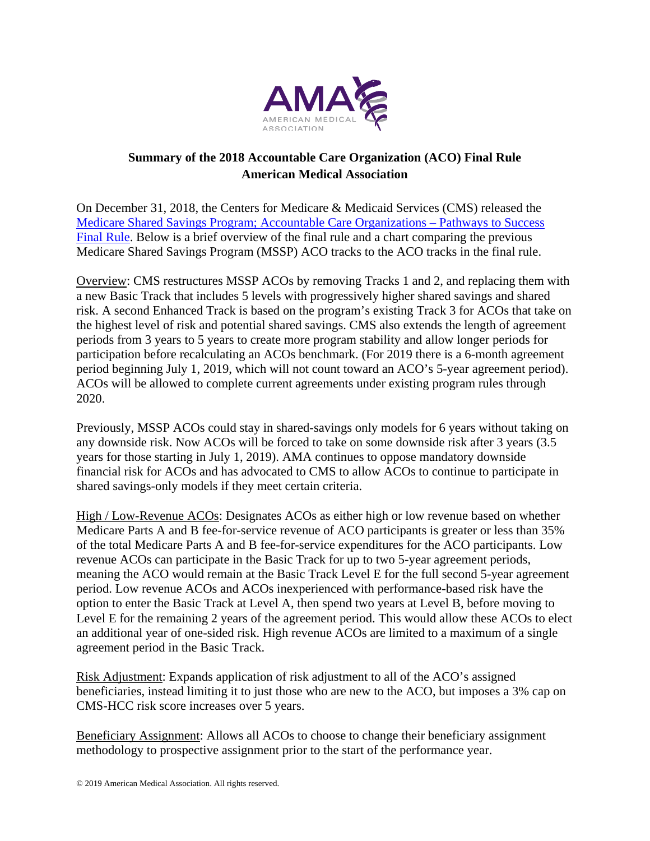

## **Summary of the 2018 Accountable Care Organization (ACO) Final Rule American Medical Association**

On December 31, 2018, the Centers for Medicare & Medicaid Services (CMS) released the Medicare Shared Savings Program; Accountable Care Organizations – Pathways to Success Final Rule. Below is a brief overview of the final rule and a chart comparing the previous Medicare Shared Savings Program (MSSP) ACO tracks to the ACO tracks in the final rule.

Overview: CMS restructures MSSP ACOs by removing Tracks 1 and 2, and replacing them with a new Basic Track that includes 5 levels with progressively higher shared savings and shared risk. A second Enhanced Track is based on the program's existing Track 3 for ACOs that take on the highest level of risk and potential shared savings. CMS also extends the length of agreement periods from 3 years to 5 years to create more program stability and allow longer periods for participation before recalculating an ACOs benchmark. (For 2019 there is a 6-month agreement period beginning July 1, 2019, which will not count toward an ACO's 5-year agreement period). ACOs will be allowed to complete current agreements under existing program rules through 2020.

Previously, MSSP ACOs could stay in shared-savings only models for 6 years without taking on any downside risk. Now ACOs will be forced to take on some downside risk after 3 years (3.5 years for those starting in July 1, 2019). AMA continues to oppose mandatory downside financial risk for ACOs and has advocated to CMS to allow ACOs to continue to participate in shared savings-only models if they meet certain criteria.

High / Low-Revenue ACOs: Designates ACOs as either high or low revenue based on whether Medicare Parts A and B fee-for-service revenue of ACO participants is greater or less than 35% of the total Medicare Parts A and B fee-for-service expenditures for the ACO participants. Low revenue ACOs can participate in the Basic Track for up to two 5-year agreement periods, meaning the ACO would remain at the Basic Track Level E for the full second 5-year agreement period. Low revenue ACOs and ACOs inexperienced with performance-based risk have the option to enter the Basic Track at Level A, then spend two years at Level B, before moving to Level E for the remaining 2 years of the agreement period. This would allow these ACOs to elect an additional year of one-sided risk. High revenue ACOs are limited to a maximum of a single agreement period in the Basic Track.

Risk Adjustment: Expands application of risk adjustment to all of the ACO's assigned beneficiaries, instead limiting it to just those who are new to the ACO, but imposes a 3% cap on CMS-HCC risk score increases over 5 years.

Beneficiary Assignment: Allows all ACOs to choose to change their beneficiary assignment methodology to prospective assignment prior to the start of the performance year.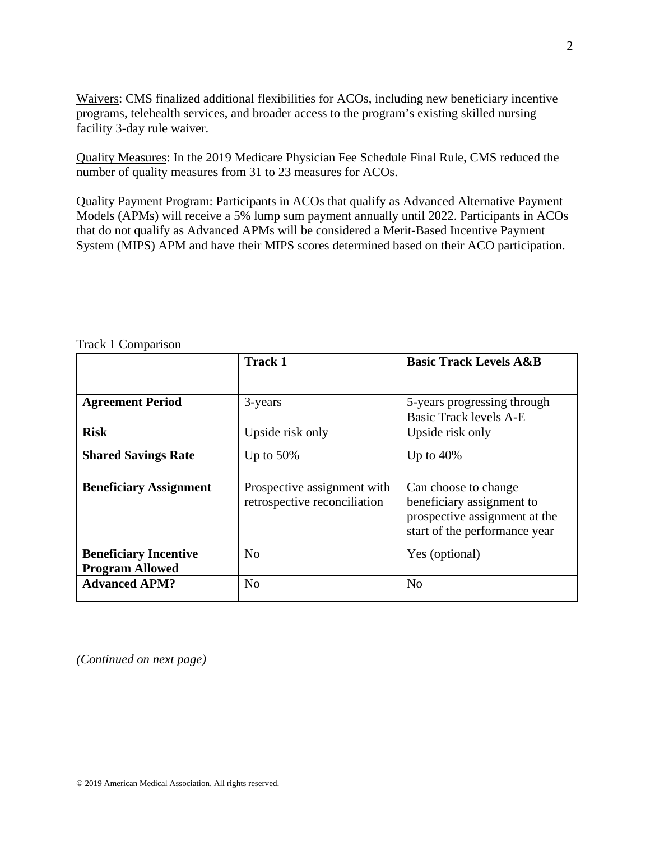Waivers: CMS finalized additional flexibilities for ACOs, including new beneficiary incentive programs, telehealth services, and broader access to the program's existing skilled nursing facility 3-day rule waiver.

Quality Measures: In the 2019 Medicare Physician Fee Schedule Final Rule, CMS reduced the number of quality measures from 31 to 23 measures for ACOs.

Quality Payment Program: Participants in ACOs that qualify as Advanced Alternative Payment Models (APMs) will receive a 5% lump sum payment annually until 2022. Participants in ACOs that do not qualify as Advanced APMs will be considered a Merit-Based Incentive Payment System (MIPS) APM and have their MIPS scores determined based on their ACO participation.

|                                                        | <b>Track 1</b>                                              | <b>Basic Track Levels A&amp;B</b>                                                                                   |
|--------------------------------------------------------|-------------------------------------------------------------|---------------------------------------------------------------------------------------------------------------------|
| <b>Agreement Period</b>                                | 3-years                                                     | 5-years progressing through<br><b>Basic Track levels A-E</b>                                                        |
| <b>Risk</b>                                            | Upside risk only                                            | Upside risk only                                                                                                    |
| <b>Shared Savings Rate</b>                             | Up to $50\%$                                                | Up to $40\%$                                                                                                        |
| <b>Beneficiary Assignment</b>                          | Prospective assignment with<br>retrospective reconciliation | Can choose to change<br>beneficiary assignment to<br>prospective assignment at the<br>start of the performance year |
| <b>Beneficiary Incentive</b><br><b>Program Allowed</b> | N <sub>0</sub>                                              | Yes (optional)                                                                                                      |
| <b>Advanced APM?</b>                                   | N <sub>0</sub>                                              | N <sub>o</sub>                                                                                                      |

Track 1 Comparison

*(Continued on next page)*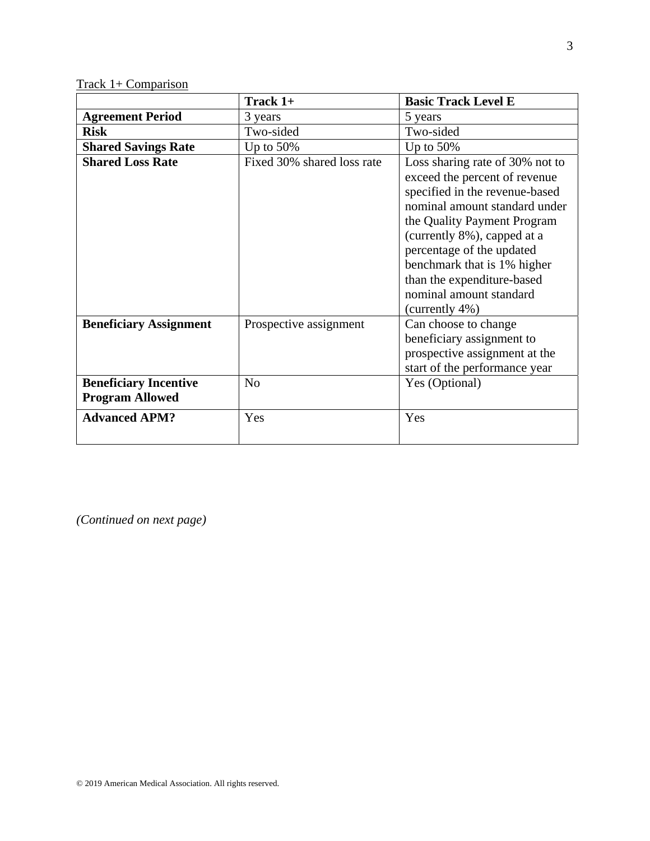Track 1+ Comparison

|                               | Track 1+                   | <b>Basic Track Level E</b>      |
|-------------------------------|----------------------------|---------------------------------|
| <b>Agreement Period</b>       | 3 years                    | 5 years                         |
| <b>Risk</b>                   | Two-sided                  | Two-sided                       |
| <b>Shared Savings Rate</b>    | Up to $50\%$               | Up to $50\%$                    |
| <b>Shared Loss Rate</b>       | Fixed 30% shared loss rate | Loss sharing rate of 30% not to |
|                               |                            | exceed the percent of revenue   |
|                               |                            | specified in the revenue-based  |
|                               |                            | nominal amount standard under   |
|                               |                            | the Quality Payment Program     |
|                               |                            | (currently 8%), capped at a     |
|                               |                            | percentage of the updated       |
|                               |                            | benchmark that is 1% higher     |
|                               |                            | than the expenditure-based      |
|                               |                            | nominal amount standard         |
|                               |                            | (currently 4%)                  |
| <b>Beneficiary Assignment</b> | Prospective assignment     | Can choose to change            |
|                               |                            | beneficiary assignment to       |
|                               |                            | prospective assignment at the   |
|                               |                            | start of the performance year   |
| <b>Beneficiary Incentive</b>  | N <sub>o</sub>             | Yes (Optional)                  |
| <b>Program Allowed</b>        |                            |                                 |
| <b>Advanced APM?</b>          | Yes                        | Yes                             |
|                               |                            |                                 |

*(Continued on next page)*